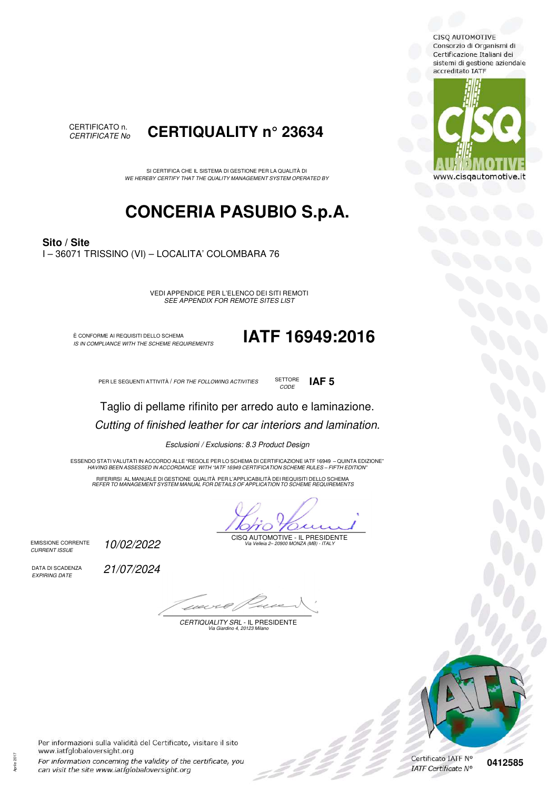**CISQ AUTOMOTIVE** Consorzio di Organismi di Certificazione Italiani dei sistemi di gestione aziendale accreditato IATF





SI CERTIFICA CHE IL SISTEMA DI GESTIONE PER LA QUALITÀ DI *WE HEREBY CERTIFY THAT THE QUALITY MANAGEMENT SYSTEM OPERATED BY*

## **CONCERIA PASUBIO S.p.A.**

**Sito / Site** I – 36071 TRISSINO (VI) – LOCALITA' COLOMBARA 76

> VEDI APPENDICE PER L'ELENCO DEI SITI REMOTI *SEE APPENDIX FOR REMOTE SITES LIST*

È CONFORME AI REQUISITI DELLO SCHEMA<br>IS IN COMPLIANCE WITH THE SCHEME REQUIREMENTS

*IS IN COMPLIANCE WITH THE SCHEME REQUIREMENTS* **IATF 16949:2016**

PER LE SEGUENTI ATTIVITÀ / *FOR THE FOLLOWING ACTIVITIES* **ICLUSTE IAF 5** 

**SETTORE** *CODE*

Taglio di pellame rifinito per arredo auto e laminazione. *Cutting of finished leather for car interiors and lamination.*

*Esclusioni / Exclusions: 8.3 Product Design* 

"ESSENDO STATI VALUTATI IN ACCORDO ALLE "REGOLE PER LO SCHEMA DI CERTIFICAZIONE IATF 16949 – QUINTA EDIZIONE<br>"HAVING BEEN ASSESSED IN ACCORDANCE WITH "IATF 16949 CERTIFICATION SCHEME RULES – FIFTH EDITION

RIFERIRSI AL MANUALE DI GESTIONE QUALITA PER L'APPLICABILITA DEI REQUISITI DELLO SCHEMA<br>REFER TO MANAGEMENT SYSTEM MANUAL FOR DETAILS OF APPLICATION TO SCHEME REQUIREMENTS

 $\gamma_O$ 70.

CISQ AUTOMOTIVE - IL PRESIDENTE *Via Velleia 2– 20900 MONZA (MB) - ITALY* 

EMISSIONE CORRENTE *CURRENT ISSUE*

DATA DI SCADENZA *EXPIRING DATE*

*10/02/2022* 

*21/07/2024* 

1121

*CERTIQUALITY SRL* - IL PRESIDENTE *Via Giardino 4, 20123 Milano* 

**0412585**

Per informazioni sulla validità del Certificato, visitare il sito www.iatfglobaloversight.org For information conceming the validity of the certificate, you can visit the site www.iatfglobaloversight.org